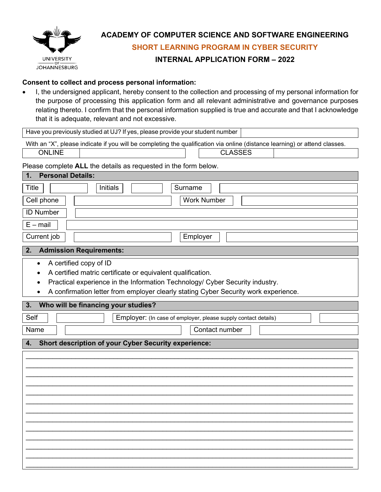

# **ACADEMY OF COMPUTER SCIENCE AND SOFTWARE ENGINEERING**

**SHORT LEARNING PROGRAM IN CYBER SECURITY**

### **INTERNAL APPLICATION FORM – 2022**

### **Consent to collect and process personal information:**

• I, the undersigned applicant, hereby consent to the collection and processing of my personal information for the purpose of processing this application form and all relevant administrative and governance purposes relating thereto. I confirm that the personal information supplied is true and accurate and that I acknowledge that it is adequate, relevant and not excessive.

Have you previously studied at UJ? If yes, please provide your student number

With an "X", please indicate if you will be completing the qualification via online (distance learning) or attend classes.

ONLINE CLASSES

## Please complete **ALL** the details as requested in the form below.

| <b>Personal Details:</b><br>1.                                                                                                                                                                                                                                            |  |
|---------------------------------------------------------------------------------------------------------------------------------------------------------------------------------------------------------------------------------------------------------------------------|--|
| <b>Title</b><br>Initials<br>Surname                                                                                                                                                                                                                                       |  |
| Cell phone<br><b>Work Number</b>                                                                                                                                                                                                                                          |  |
| <b>ID Number</b>                                                                                                                                                                                                                                                          |  |
| $E - mail$                                                                                                                                                                                                                                                                |  |
| Current job<br>Employer                                                                                                                                                                                                                                                   |  |
| <b>Admission Requirements:</b><br>2.                                                                                                                                                                                                                                      |  |
| A certified copy of ID<br>$\bullet$<br>A certified matric certificate or equivalent qualification.<br>Practical experience in the Information Technology/ Cyber Security industry.<br>A confirmation letter from employer clearly stating Cyber Security work experience. |  |
| Who will be financing your studies?<br>3.                                                                                                                                                                                                                                 |  |
| Self<br>Employer: (In case of employer, please supply contact details)                                                                                                                                                                                                    |  |
| Name<br>Contact number                                                                                                                                                                                                                                                    |  |
| <b>Short description of your Cyber Security experience:</b><br>4.                                                                                                                                                                                                         |  |
|                                                                                                                                                                                                                                                                           |  |
|                                                                                                                                                                                                                                                                           |  |
|                                                                                                                                                                                                                                                                           |  |
|                                                                                                                                                                                                                                                                           |  |
|                                                                                                                                                                                                                                                                           |  |